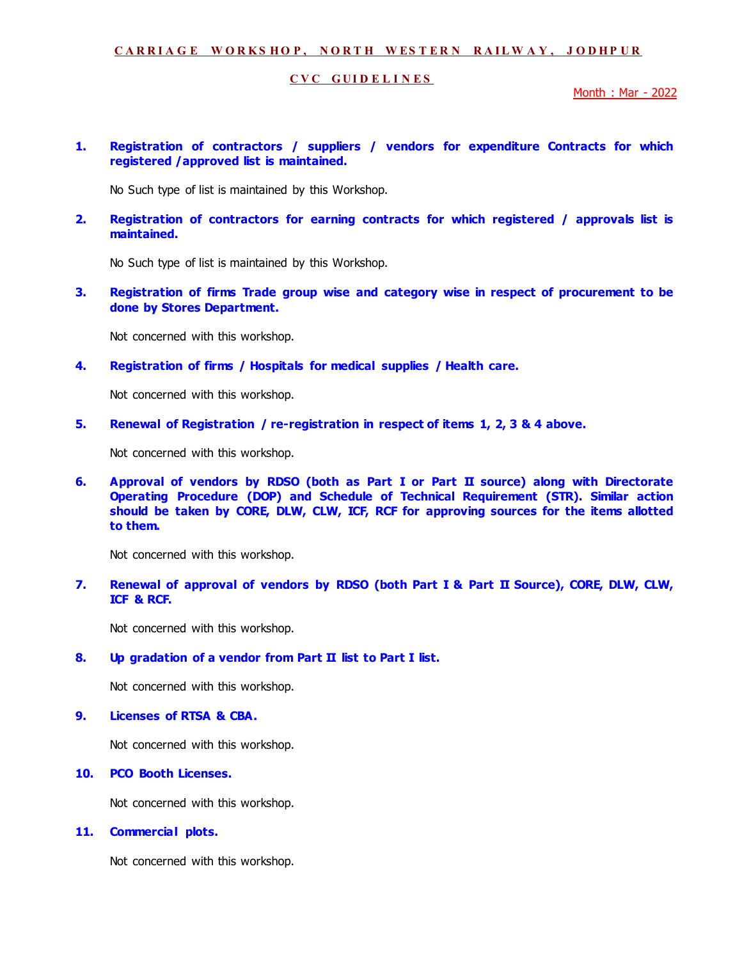#### **C V C G U I D E L I N E S**

Month : Mar - 2022

**1. Registration of contractors / suppliers / vendors for expenditure Contracts for which registered /approved list is maintained.** 

No Such type of list is maintained by this Workshop.

**2. Registration of contractors for earning contracts for which registered / approvals list is maintained.** 

No Such type of list is maintained by this Workshop.

**3. Registration of firms Trade group wise and category wise in respect of procurement to be done by Stores Department.** 

Not concerned with this workshop.

**4. Registration of firms / Hospitals for medical supplies / Health care.** 

Not concerned with this workshop.

**5. Renewal of Registration / re-registration in respect of items 1, 2, 3 & 4 above.** 

Not concerned with this workshop.

**6. Approval of vendors by RDSO (both as Part I or Part II source) along with Directorate Operating Procedure (DOP) and Schedule of Technical Requirement (STR). Similar action should be taken by CORE, DLW, CLW, ICF, RCF for approving sources for the items allotted to them.** 

Not concerned with this workshop.

**7. Renewal of approval of vendors by RDSO (both Part I & Part II Source), CORE, DLW, CLW, ICF & RCF.** 

Not concerned with this workshop.

#### **8. Up gradation of a vendor from Part II list to Part I list.**

Not concerned with this workshop.

## **9. Licenses of RTSA & CBA.**

Not concerned with this workshop.

## **10. PCO Booth Licenses.**

Not concerned with this workshop.

**11. Commercial plots.** 

Not concerned with this workshop.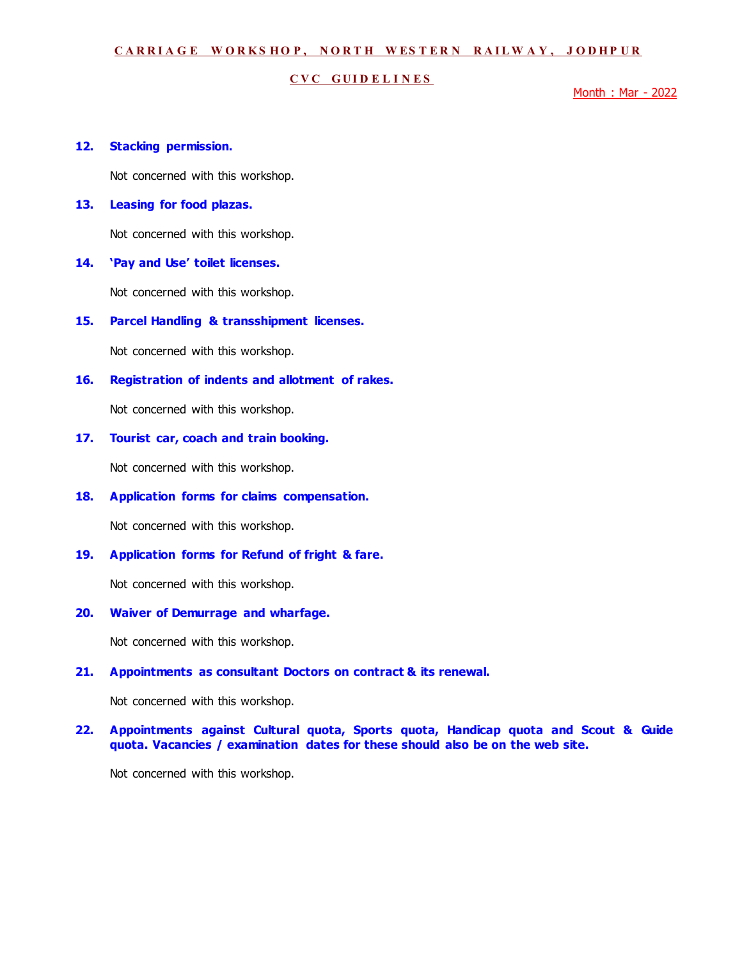#### **C V C G U I D E L I N E S**

Month : Mar - 2022

### **12. Stacking permission.**

Not concerned with this workshop.

## **13. Leasing for food plazas.**

Not concerned with this workshop.

#### **14. 'Pay and Use' toilet licenses.**

Not concerned with this workshop.

**15. Parcel Handling & transshipment licenses.** 

Not concerned with this workshop.

**16. Registration of indents and allotment of rakes.** 

Not concerned with this workshop.

#### **17. Tourist car, coach and train booking.**

Not concerned with this workshop.

#### **18. Application forms for claims compensation.**

Not concerned with this workshop.

### **19. Application forms for Refund of fright & fare.**

Not concerned with this workshop.

### **20. Waiver of Demurrage and wharfage.**

Not concerned with this workshop.

#### **21. Appointments as consultant Doctors on contract & its renewal.**

Not concerned with this workshop.

### **22. Appointments against Cultural quota, Sports quota, Handicap quota and Scout & Guide quota. Vacancies / examination dates for these should also be on the web site.**

Not concerned with this workshop.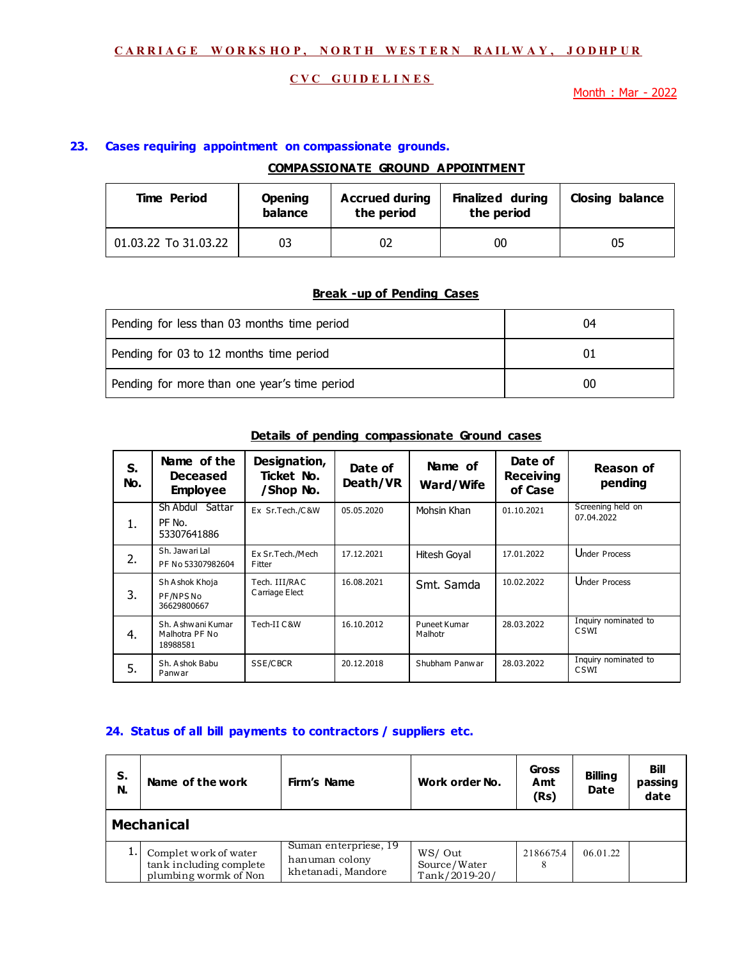## **C V C G U I D E L I N E S**

Month : Mar - 2022

## **23. Cases requiring appointment on compassionate grounds.**

## **COMPASSIONATE GROUND APPOINTMENT**

| <b>Time Period</b>   | <b>Opening</b><br>balance | <b>Accrued during</b><br>the period | <b>Finalized during</b><br>the period | <b>Closing balance</b> |
|----------------------|---------------------------|-------------------------------------|---------------------------------------|------------------------|
| 01.03.22 To 31.03.22 | 03                        |                                     | 00                                    | 05                     |

## **Break -up of Pending Cases**

| Pending for less than 03 months time period  | 04 |
|----------------------------------------------|----|
| Pending for 03 to 12 months time period      |    |
| Pending for more than one year's time period | 00 |

| S.<br>No. | Name of the<br><b>Deceased</b><br><b>Employee</b> | Designation,<br>Ticket No.<br>/Shop No. | Date of<br>Death/VR | Name of<br><b>Ward/Wife</b> | Date of<br><b>Receiving</b><br>of Case | <b>Reason of</b><br>pending     |
|-----------|---------------------------------------------------|-----------------------------------------|---------------------|-----------------------------|----------------------------------------|---------------------------------|
| 1.        | Sattar<br>Sh Abdul<br>$PF$ No.<br>53307641886     | Ex Sr.Tech./C&W                         | 05.05.2020          | Mohsin Khan                 | 01.10.2021                             | Screening held on<br>07.04.2022 |
| 2.        | Sh. Jawari Lal<br>PF No 53307982604               | Ex Sr.Tech./Mech<br>Fitter              | 17.12.2021          | Hitesh Goyal                | 17.01.2022                             | Under Process                   |
| 3.        | Sh A shok Khoja<br>PF/NPSNo<br>36629800667        | Tech. III/RAC<br>Carriage Elect         | 16.08.2021          | Smt. Samda                  | 10.02.2022                             | Under Process                   |
| 4.        | Sh. A shw ani Kumar<br>Malhotra PF No<br>18988581 | Tech-II C & W                           | 16.10.2012          | Puneet Kumar<br>Malhotr     | 28.03.2022                             | Inquiry nominated to<br>CSWI    |
| 5.        | Sh. Ashok Babu<br>Panwar                          | SSE/CBCR                                | 20.12.2018          | Shubham Panwar              | 28.03.2022                             | Inquiry nominated to<br>CSWI    |

## **Details of pending compassionate Ground cases**

#### **24. Status of all bill payments to contractors / suppliers etc.**

| S.<br>N. | Name of the work                                                          | Firm's Name                                                   | Work order No.                          | <b>Gross</b><br>Amt<br>(Rs) | <b>Billing</b><br><b>Date</b> | Bill<br>passing<br>date |
|----------|---------------------------------------------------------------------------|---------------------------------------------------------------|-----------------------------------------|-----------------------------|-------------------------------|-------------------------|
|          | <b>Mechanical</b>                                                         |                                                               |                                         |                             |                               |                         |
|          | Complet work of water<br>tank including complete<br>plumbing wormk of Non | Suman enterpriese, 19<br>hanuman colony<br>khetanadi, Mandore | WS/Out<br>Source/Water<br>Tank/2019-20/ | 2186675.4                   | 06.01.22                      |                         |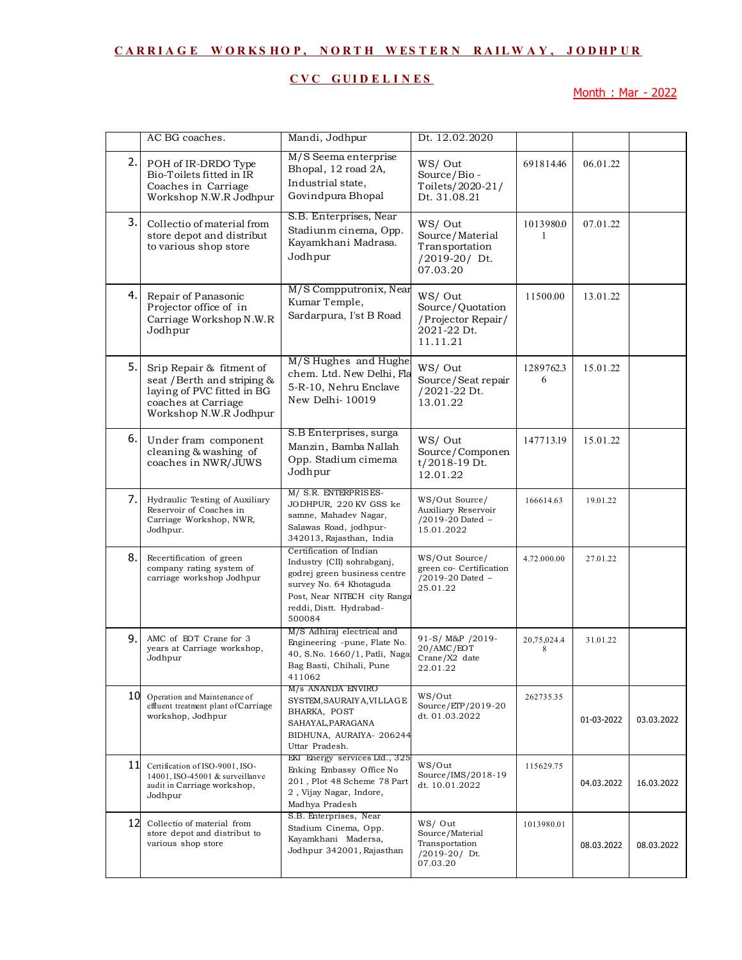# **C V C G U I D E L I N E S**

Month : Mar - 2022

|    | AC BG coaches.                                                                                                                         | Mandi, Jodhpur                                                                                                                                                                        | Dt. 12.02.2020                                                              |                  |            |            |
|----|----------------------------------------------------------------------------------------------------------------------------------------|---------------------------------------------------------------------------------------------------------------------------------------------------------------------------------------|-----------------------------------------------------------------------------|------------------|------------|------------|
| 2. | POH of IR-DRDO Type<br>Bio-Toilets fitted in IR<br>Coaches in Carriage<br>Workshop N.W.R Jodhpur                                       | M/S Seema enterprise<br>Bhopal, 12 road 2A,<br>Industrial state,<br>Govindpura Bhopal                                                                                                 | WS/Out<br>Source/Bio-<br>Toilets/2020-21/<br>Dt. 31.08.21                   | 691814.46        | 06.01.22   |            |
| 3. | Collectio of material from<br>store depot and distribut<br>to various shop store                                                       | S.B. Enterprises, Near<br>Stadiunm cinema, Opp.<br>Kayamkhani Madrasa.<br>Jodhpur                                                                                                     | WS/Out<br>Source/Material<br>Transportation<br>/2019-20/ Dt.<br>07.03.20    | 1013980.0<br>1   | 07.01.22   |            |
| 4. | Repair of Panasonic<br>Projector office of in<br>Carriage Workshop N.W.R<br>Jodhpur                                                    | M/S Compputronix, Near<br>Kumar Temple,<br>Sardarpura, I'st B Road                                                                                                                    | WS/Out<br>Source/Quotation<br>/Projector Repair/<br>2021-22 Dt.<br>11.11.21 | 11500.00         | 13.01.22   |            |
| 5. | Srip Repair & fitment of<br>seat / Berth and striping &<br>laying of PVC fitted in BG<br>coaches at Carriage<br>Workshop N.W.R Jodhpur | M/S Hughes and Hughe<br>chem. Ltd. New Delhi, Fla<br>5-R-10, Nehru Enclave<br>New Delhi-10019                                                                                         | WS/Out<br>Source/Seat repair<br>/2021-22 Dt.<br>13.01.22                    | 1289762.3<br>6   | 15.01.22   |            |
| 6. | Under fram component<br>cleaning & washing of<br>coaches in NWR/JUWS                                                                   | S.B Enterprises, surga<br>Manzin, Bamba Nallah<br>Opp. Stadium cimema<br>Jodhpur                                                                                                      | WS/Out<br>Source/Componen<br>$t/2018-19$ Dt.<br>12.01.22                    | 147713.19        | 15.01.22   |            |
| 7. | Hydraulic Testing of Auxiliary<br>Reservoir of Coaches in<br>Carriage Workshop, NWR,<br>Jodhpur.                                       | M/ S.R. ENTERPRISES-<br>JODHPUR, 220 KV GSS ke<br>samne, Mahadev Nagar,<br>Salawas Road, jodhpur-<br>342013, Rajasthan, India                                                         | WS/Out Source/<br>Auxiliary Reservoir<br>/2019-20 Dated -<br>15.01.2022     | 166614.63        | 19.01.22   |            |
| 8. | Recertification of green<br>company rating system of<br>carriage workshop Jodhpur                                                      | Certification of Indian<br>Industry (CII) sohrabganj,<br>godrej green business centre<br>survey No. 64 Khotaguda<br>Post, Near NITECH city Ranga<br>reddi, Distt. Hydrabad-<br>500084 | WS/Out Source/<br>green co- Certification<br>/2019-20 Dated -<br>25.01.22   | 4.72.000.00      | 27.01.22   |            |
| 9. | AMC of EOT Crane for 3<br>years at Carriage workshop,<br>Jodhpur                                                                       | M/S Adhiraj electrical and<br>Engineering -pune, Flate No.<br>40, S.No. 1660/1, Patli, Naga:<br>Bag Basti, Chihali, Pune<br>411062                                                    | 91-S/M&P /2019-<br>20/AMC/EOT<br>Crane/X2 date<br>22.01.22                  | 20,75,024.4<br>8 | 31.01.22   |            |
|    | 10 Operation and Maintenance of<br>effluent treatment plant of Carriage<br>workshop, Jodhpur                                           | M/s ANANDA ENVIRO<br>SYSTEM, SAURAIY A, VILLAGE<br>BHARKA, POST<br>SAHAYAL, PARAGANA<br>BIDHUNA, AURAIYA- 206244<br>Uttar Pradesh.                                                    | WS/Out<br>Source/ETP/2019-20<br>dt. 01.03.2022                              | 262735.35        | 01-03-2022 | 03.03.2022 |
| 11 | Certification of ISO-9001, ISO-<br>14001, ISO-45001 & surveillanve<br>audit in Carriage workshop,<br>Jodhpur                           | EKI Energy services Ltd., 325<br>Enking Embassy Office No<br>201, Plot 48 Scheme 78 Part<br>2, Vijay Nagar, Indore,<br>Madhya Pradesh                                                 | WS/Out<br>Source/IMS/2018-19<br>dt. 10.01.2022                              | 115629.75        | 04.03.2022 | 16.03.2022 |
|    | 12 Collectio of material from<br>store depot and distribut to<br>various shop store                                                    | S.B. Enterprises, Near<br>Stadium Cinema, Opp.<br>Kayamkhani Madersa,<br>Jodhpur 342001, Rajasthan                                                                                    | WS/Out<br>Source/Material<br>Transportation<br>/2019-20/ Dt.<br>07.03.20    | 1013980.01       | 08.03.2022 | 08.03.2022 |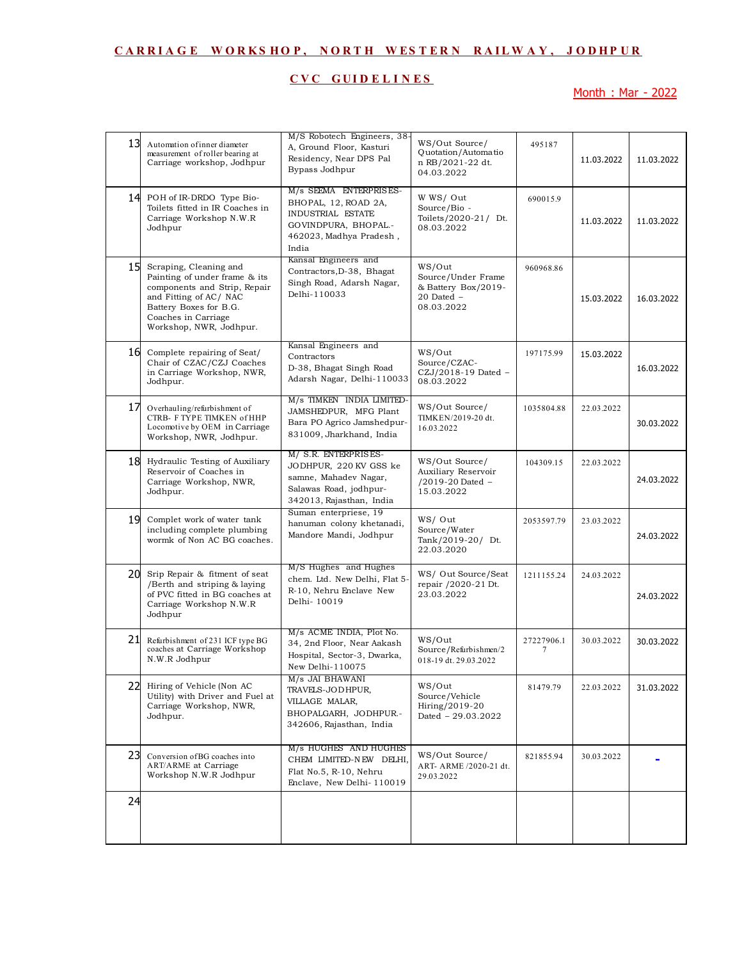# **C V C G U I D E L I N E S**

Month : Mar - 2022

| 13 | Automation of inner diameter<br>measurement of roller bearing at<br>Carriage workshop, Jodhpur                                                                                               | M/S Robotech Engineers, 38-<br>A, Ground Floor, Kasturi<br>Residency, Near DPS Pal<br>Bypass Jodhpur                             | WS/Out Source/<br>Quotation/Automatio<br>n RB/2021-22 dt.<br>04.03.2022             | 495187          | 11.03.2022 | 11.03.2022 |
|----|----------------------------------------------------------------------------------------------------------------------------------------------------------------------------------------------|----------------------------------------------------------------------------------------------------------------------------------|-------------------------------------------------------------------------------------|-----------------|------------|------------|
|    | 14 POH of IR-DRDO Type Bio-<br>Toilets fitted in IR Coaches in<br>Carriage Workshop N.W.R<br>Jodhpur                                                                                         | M/s SEEMA ENTERPRISES-<br>BHOPAL, 12, ROAD 2A,<br>INDUSTRIAL ESTATE<br>GOVINDPURA, BHOPAL .-<br>462023, Madhya Pradesh,<br>India | W WS/ Out<br>Source/Bio -<br>Toilets/2020-21/ Dt.<br>08.03.2022                     | 690015.9        | 11.03.2022 | 11.03.2022 |
| 15 | Scraping, Cleaning and<br>Painting of under frame & its<br>components and Strip, Repair<br>and Fitting of AC/NAC<br>Battery Boxes for B.G.<br>Coaches in Carriage<br>Workshop, NWR, Jodhpur. | Kansal Engineers and<br>Contractors, D-38, Bhagat<br>Singh Road, Adarsh Nagar,<br>Delhi-110033                                   | WS/Out<br>Source/Under Frame<br>& Battery Box/2019-<br>$20$ Dated $-$<br>08.03.2022 | 960968.86       | 15.03.2022 | 16.03.2022 |
| 16 | Complete repairing of Seat/<br>Chair of CZAC/CZJ Coaches<br>in Carriage Workshop, NWR,<br>Jodhpur.                                                                                           | Kansal Engineers and<br>Contractors<br>D-38, Bhagat Singh Road<br>Adarsh Nagar, Delhi-110033                                     | WS/Out<br>Source/CZAC-<br>CZJ/2018-19 Dated -<br>08.03.2022                         | 197175.99       | 15.03.2022 | 16.03.2022 |
| 17 | Overhauling/refurbishment of<br>CTRB- F TYPE TIMKEN of HHP<br>Locomotive by OEM in Carriage<br>Workshop, NWR, Jodhpur.                                                                       | M/s TIMKEN INDIA LIMITED-<br>JAMSHEDPUR, MFG Plant<br>Bara PO Agrico Jamshedpur-<br>831009, Jharkhand, India                     | WS/Out Source/<br>TIMKEN/2019-20 dt.<br>16.03.2022                                  | 1035804.88      | 22.03.2022 | 30.03.2022 |
| 18 | Hydraulic Testing of Auxiliary<br>Reservoir of Coaches in<br>Carriage Workshop, NWR,<br>Jodhpur.                                                                                             | M/ S.R. ENTERPRISES-<br>JODHPUR, 220 KV GSS ke<br>samne, Mahadev Nagar,<br>Salawas Road, jodhpur-<br>342013, Rajasthan, India    | WS/Out Source/<br>Auxiliary Reservoir<br>/2019-20 Dated -<br>15.03.2022             | 104309.15       | 22.03.2022 | 24.03.2022 |
| 19 | Complet work of water tank<br>including complete plumbing<br>wormk of Non AC BG coaches.                                                                                                     | Suman enterpriese, 19<br>hanuman colony khetanadi,<br>Mandore Mandi, Jodhpur                                                     | WS/Out<br>Source/Water<br>Tank/2019-20/ Dt.<br>22.03.2020                           | 2053597.79      | 23.03.2022 | 24.03.2022 |
| 20 | Srip Repair & fitment of seat<br>/Berth and striping & laying<br>of PVC fitted in BG coaches at<br>Carriage Workshop N.W.R<br>Jodhpur                                                        | M/S Hughes and Hughes<br>chem. Ltd. New Delhi, Flat 5-<br>R-10, Nehru Enclave New<br>Delhi-10019                                 | WS/ Out Source/Seat<br>repair /2020-21 Dt.<br>23.03.2022                            | 1211155.24      | 24.03.2022 | 24.03.2022 |
| 21 | Refurbishment of 231 ICF type BG<br>coaches at Carriage Workshop<br>N.W.R Jodhpur                                                                                                            | M/s ACME INDIA, Plot No.<br>34, 2nd Floor, Near Aakash<br>Hospital, Sector-3, Dwarka,<br>New Delhi-110075                        | WS/Out<br>Source/Refurbishmen/2<br>018-19 dt. 29.03.2022                            | 27227906.1<br>7 | 30.03.2022 | 30.03.2022 |
| 22 | Hiring of Vehicle (Non AC<br>Utility) with Driver and Fuel at<br>Carriage Workshop, NWR,<br>Jodhpur.                                                                                         | M/s JAI BHAWANI<br>TRAVELS-JODHPUR,<br>VILLAGE MALAR,<br>BHOPALGARH, JODHPUR.-<br>342606, Rajasthan, India                       | WS/Out<br>Source/Vehicle<br>Hiring/2019-20<br>Dated - 29.03.2022                    | 81479.79        | 22.03.2022 | 31.03.2022 |
| 23 | Conversion of BG coaches into<br><b>ART/ARME</b> at Carriage<br>Workshop N.W.R Jodhpur                                                                                                       | M/s HUGHES AND HUGHES<br>CHEM LIMITED-NEW DELHI,<br>Flat No.5, R-10, Nehru<br>Enclave, New Delhi-110019                          | WS/Out Source/<br>ART- ARME /2020-21 dt.<br>29.03.2022                              | 821855.94       | 30.03.2022 |            |
| 24 |                                                                                                                                                                                              |                                                                                                                                  |                                                                                     |                 |            |            |
|    |                                                                                                                                                                                              |                                                                                                                                  |                                                                                     |                 |            |            |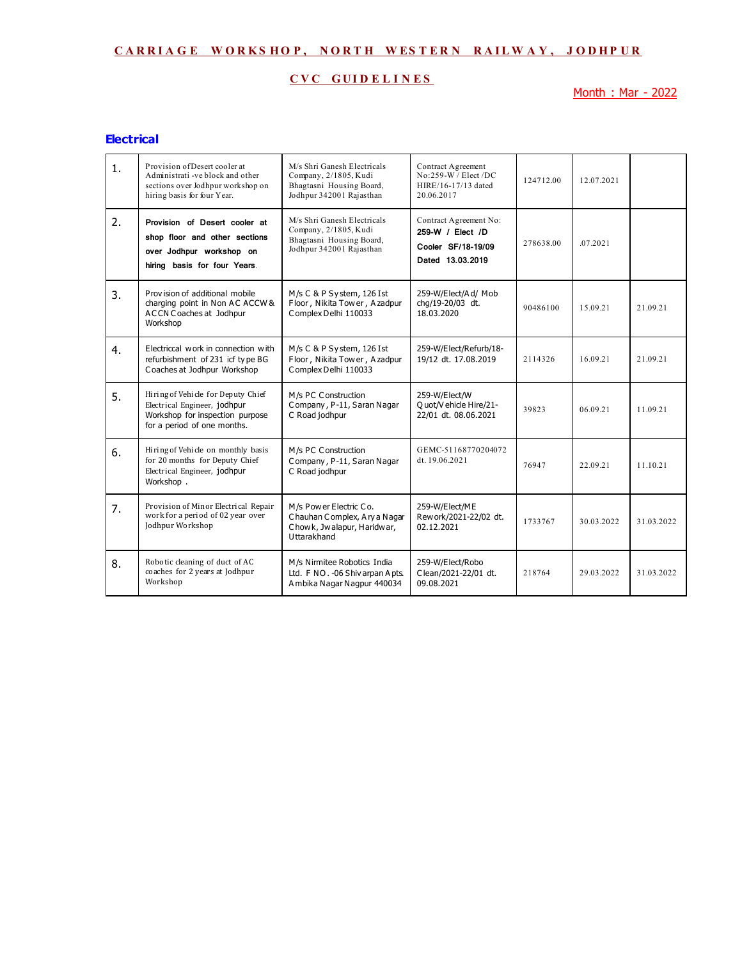## **C V C G U I D E L I N E S**

Month : Mar - 2022

#### **Electrical**

| 1. | Provision of Desert cooler at<br>Administrati-ve block and other<br>sections over Jodhpur workshop on<br>hiring basis for four Year. | M/s Shri Ganesh Electricals<br>Company, 2/1805, Kudi<br>Bhagtasni Housing Board,<br>Jodhpur 342001 Rajasthan | Contract Agreement<br>$No:259-W$ / Elect /DC<br>HIRE/16-17/13 dated<br>20.06.2017    | 124712.00 | 12.07.2021 |            |
|----|--------------------------------------------------------------------------------------------------------------------------------------|--------------------------------------------------------------------------------------------------------------|--------------------------------------------------------------------------------------|-----------|------------|------------|
| 2. | Provision of Desert cooler at<br>shop floor and other sections<br>over Jodhpur workshop on<br>hiring basis for four Years.           | M/s Shri Ganesh Electricals<br>Company, 2/1805, Kudi<br>Bhagtasni Housing Board,<br>Jodhpur 342001 Rajasthan | Contract Agreement No:<br>259-W / Elect /D<br>Cooler SF/18-19/09<br>Dated 13.03.2019 | 278638.00 | .07.2021   |            |
| 3. | Provision of additional mobile<br>charging point in Non AC ACCW &<br>A CCN Coaches at Jodhpur<br>Workshop                            | M/s C & P System, 126 Ist<br>Floor, Nikita Tower, Azadpur<br>Complex Delhi 110033                            | 259-W/Elect/Ad/ Mob<br>chq/19-20/03 dt.<br>18.03.2020                                | 90486100  | 15.09.21   | 21.09.21   |
| 4. | Electriccal work in connection with<br>refurbishment of 231 icf type BG<br>Coaches at Jodhpur Workshop                               | M/s C & P System, 126 Ist<br>Floor, Nikita Tower, Azadpur<br>Complex Delhi 110033                            | 259-W/Elect/Refurb/18-<br>19/12 dt. 17.08.2019                                       | 2114326   | 16 09 21   | 21.09.21   |
| 5. | Hiring of Vehicle for Deputy Chief<br>Electrical Engineer, jodhpur<br>Workshop for inspection purpose<br>for a period of one months. | M/s PC Construction<br>Company, P-11, Saran Nagar<br>C Road jodhpur                                          | 259-W/Elect/W<br>O uot/V ehicle Hire/21-<br>22/01 dt. 08.06.2021                     | 39823     | 06 09 21   | 11.09.21   |
| 6. | Hiring of Vehicle on monthly basis<br>for 20 months for Deputy Chief<br>Electrical Engineer, jodhpur<br>Workshop.                    | M/s PC Construction<br>Company, P-11, Saran Nagar<br>C Road jodhpur                                          | GEMC-51168770204072<br>dt. 19.06.2021                                                | 76947     | 22 09 21   | 11.10.21   |
| 7. | Provision of Minor Electrical Repair<br>work for a period of 02 year over<br>Jodhpur Workshop                                        | M/s Power Electric Co.<br>Chauhan Complex, Ary a Nagar<br>Chowk, Jwalapur, Haridwar,<br>Uttarakhand          | 259-W/Elect/ME<br>Rew ork/2021-22/02 dt.<br>02.12.2021                               | 1733767   | 30.03.2022 | 31.03.2022 |
| 8. | Robotic cleaning of duct of AC<br>coaches for 2 years at Jodhpur<br>Workshop                                                         | M/s Nirmitee Robotics India<br>Ltd. F NO. - 06 Shiv arpan A pts.<br>A mbika Nagar Nagpur 440034              | 259-W/Elect/Robo<br>Clean/2021-22/01 dt.<br>09.08.2021                               | 218764    | 29 03 2022 | 31.03.2022 |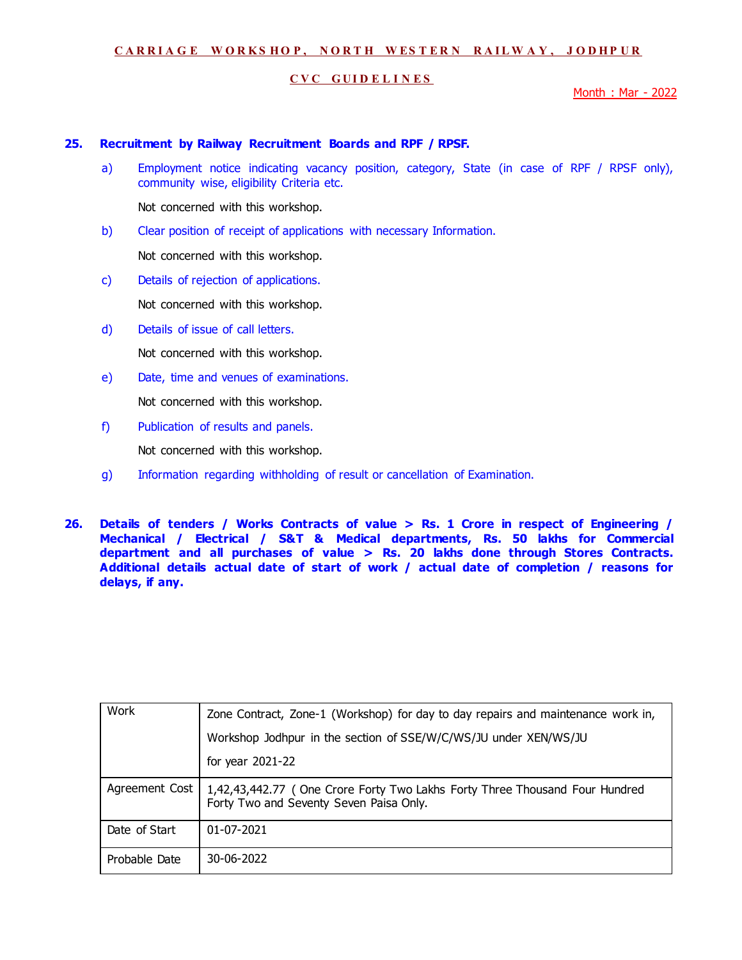### **C V C G U I D E L I N E S**

Month : Mar - 2022

### **25. Recruitment by Railway Recruitment Boards and RPF / RPSF.**

a) Employment notice indicating vacancy position, category, State (in case of RPF / RPSF only), community wise, eligibility Criteria etc.

Not concerned with this workshop.

b) Clear position of receipt of applications with necessary Information.

Not concerned with this workshop.

c) Details of rejection of applications.

Not concerned with this workshop.

d) Details of issue of call letters.

Not concerned with this workshop.

e) Date, time and venues of examinations.

Not concerned with this workshop.

f) Publication of results and panels.

Not concerned with this workshop.

- g) Information regarding withholding of result or cancellation of Examination.
- **26. Details of tenders / Works Contracts of value > Rs. 1 Crore in respect of Engineering / Mechanical / Electrical / S&T & Medical departments, Rs. 50 lakhs for Commercial department and all purchases of value > Rs. 20 lakhs done through Stores Contracts. Additional details actual date of start of work / actual date of completion / reasons for delays, if any.**

| Work           | Zone Contract, Zone-1 (Workshop) for day to day repairs and maintenance work in,                                       |
|----------------|------------------------------------------------------------------------------------------------------------------------|
|                | Workshop Jodhpur in the section of SSE/W/C/WS/JU under XEN/WS/JU                                                       |
|                | for year 2021-22                                                                                                       |
| Agreement Cost | 1,42,43,442.77 (One Crore Forty Two Lakhs Forty Three Thousand Four Hundred<br>Forty Two and Seventy Seven Paisa Only. |
| Date of Start  | 01-07-2021                                                                                                             |
| Probable Date  | 30-06-2022                                                                                                             |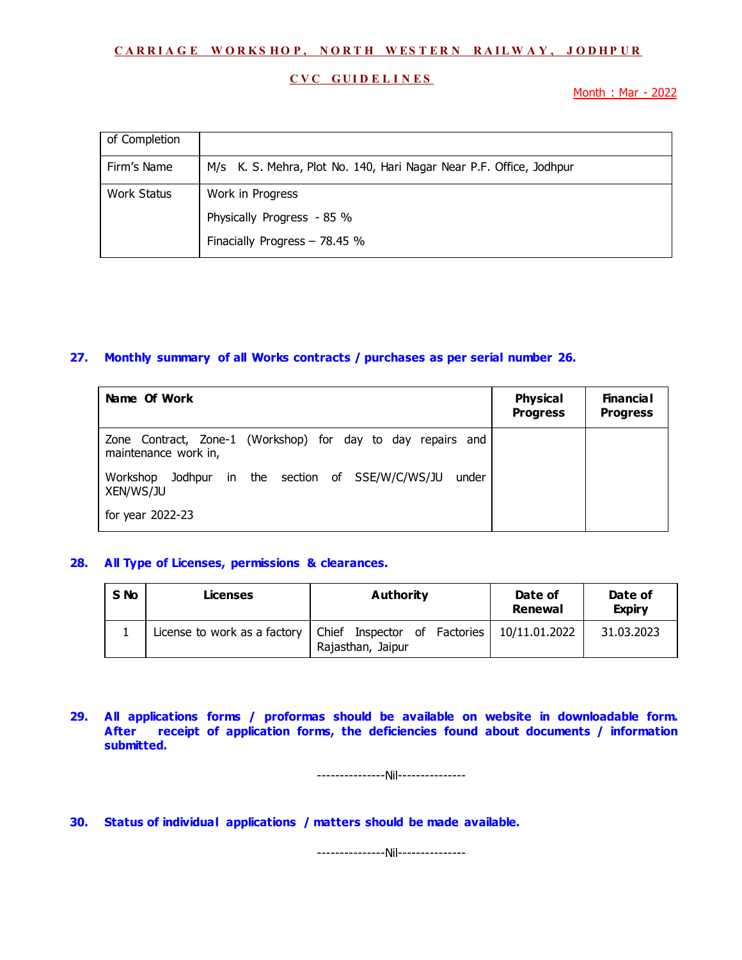#### **C V C G U I D E L I N E S**

Month : Mar - 2022

| of Completion |                                                                     |
|---------------|---------------------------------------------------------------------|
| Firm's Name   | M/s K. S. Mehra, Plot No. 140, Hari Nagar Near P.F. Office, Jodhpur |
| Work Status   | Work in Progress                                                    |
|               | Physically Progress - 85 %                                          |
|               | Finacially Progress - 78.45 %                                       |

## **27. Monthly summary of all Works contracts / purchases as per serial number 26.**

| Name Of Work                                                                        | <b>Physical</b><br><b>Progress</b> | <b>Financial</b><br><b>Progress</b> |
|-------------------------------------------------------------------------------------|------------------------------------|-------------------------------------|
| Zone Contract, Zone-1 (Workshop) for day to day repairs and<br>maintenance work in, |                                    |                                     |
| Jodhpur in the section of SSE/W/C/WS/JU<br>Workshop<br>under<br>XEN/WS/JU           |                                    |                                     |
| for year 2022-23                                                                    |                                    |                                     |

#### **28. All Type of Licenses, permissions & clearances.**

| S <sub>No</sub> | <b>Licenses</b>              | Authority                                           | Date of<br>Renewal | Date of<br><b>Expiry</b> |
|-----------------|------------------------------|-----------------------------------------------------|--------------------|--------------------------|
|                 | License to work as a factory | Chief Inspector of Factories  <br>Rajasthan, Jaipur | 10/11.01.2022      | 31.03.2023               |

**29. All applications forms / proformas should be available on website in downloadable form. After receipt of application forms, the deficiencies found about documents / information submitted.** 

---------------Nil---------------

**30. Status of individual applications / matters should be made available.** 

---------------Nil---------------